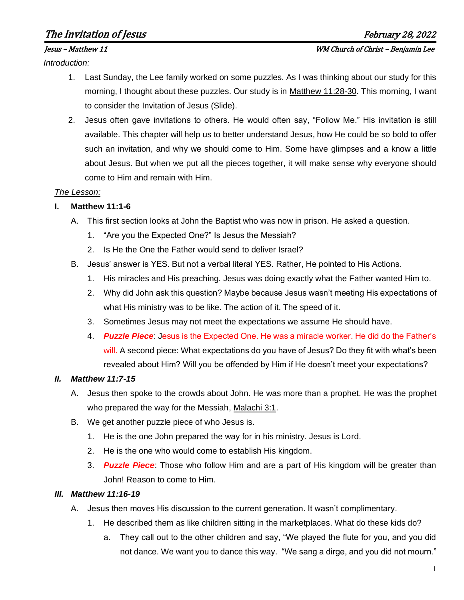# The Invitation of Jesus February 28, 2022

*Introduction:*

- 1. Last Sunday, the Lee family worked on some puzzles. As I was thinking about our study for this morning, I thought about these puzzles. Our study is in Matthew 11:28-30. This morning, I want to consider the Invitation of Jesus (Slide).
- 2. Jesus often gave invitations to others. He would often say, "Follow Me." His invitation is still available. This chapter will help us to better understand Jesus, how He could be so bold to offer such an invitation, and why we should come to Him. Some have glimpses and a know a little about Jesus. But when we put all the pieces together, it will make sense why everyone should come to Him and remain with Him.

#### *The Lesson:*

### **I. Matthew 11:1-6**

- A. This first section looks at John the Baptist who was now in prison. He asked a question.
	- 1. "Are you the Expected One?" Is Jesus the Messiah?
	- 2. Is He the One the Father would send to deliver Israel?
- B. Jesus' answer is YES. But not a verbal literal YES. Rather, He pointed to His Actions.
	- 1. His miracles and His preaching. Jesus was doing exactly what the Father wanted Him to.
	- 2. Why did John ask this question? Maybe because Jesus wasn't meeting His expectations of what His ministry was to be like. The action of it. The speed of it.
	- 3. Sometimes Jesus may not meet the expectations we assume He should have.
	- 4. *Puzzle Piece*: Jesus is the Expected One. He was a miracle worker. He did do the Father's will. A second piece: What expectations do you have of Jesus? Do they fit with what's been revealed about Him? Will you be offended by Him if He doesn't meet your expectations?

### *II. Matthew 11:7-15*

- A. Jesus then spoke to the crowds about John. He was more than a prophet. He was the prophet who prepared the way for the Messiah, Malachi 3:1.
- B. We get another puzzle piece of who Jesus is.
	- 1. He is the one John prepared the way for in his ministry. Jesus is Lord.
	- 2. He is the one who would come to establish His kingdom.
	- 3. *Puzzle Piece*: Those who follow Him and are a part of His kingdom will be greater than John! Reason to come to Him.

### *III. Matthew 11:16-19*

- A. Jesus then moves His discussion to the current generation. It wasn't complimentary.
	- 1. He described them as like children sitting in the marketplaces. What do these kids do?
		- a. They call out to the other children and say, "We played the flute for you, and you did not dance. We want you to dance this way. "We sang a dirge, and you did not mourn."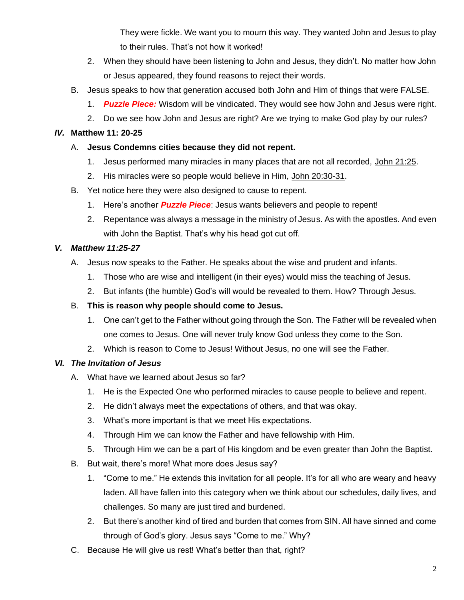They were fickle. We want you to mourn this way. They wanted John and Jesus to play to their rules. That's not how it worked!

- 2. When they should have been listening to John and Jesus, they didn't. No matter how John or Jesus appeared, they found reasons to reject their words.
- B. Jesus speaks to how that generation accused both John and Him of things that were FALSE.
	- 1. *Puzzle Piece:* Wisdom will be vindicated. They would see how John and Jesus were right.
	- 2. Do we see how John and Jesus are right? Are we trying to make God play by our rules?

#### *IV.* **Matthew 11: 20-25**

#### A. **Jesus Condemns cities because they did not repent.**

- 1. Jesus performed many miracles in many places that are not all recorded, John 21:25.
- 2. His miracles were so people would believe in Him, John 20:30-31.
- B. Yet notice here they were also designed to cause to repent.
	- 1. Here's another *Puzzle Piece*: Jesus wants believers and people to repent!
	- 2. Repentance was always a message in the ministry of Jesus. As with the apostles. And even with John the Baptist. That's why his head got cut off.

#### *V. Matthew 11:25-27*

- A. Jesus now speaks to the Father. He speaks about the wise and prudent and infants.
	- 1. Those who are wise and intelligent (in their eyes) would miss the teaching of Jesus.
	- 2. But infants (the humble) God's will would be revealed to them. How? Through Jesus.

#### B. **This is reason why people should come to Jesus.**

- 1. One can't get to the Father without going through the Son. The Father will be revealed when one comes to Jesus. One will never truly know God unless they come to the Son.
- 2. Which is reason to Come to Jesus! Without Jesus, no one will see the Father.

### *VI. The Invitation of Jesus*

- A. What have we learned about Jesus so far?
	- 1. He is the Expected One who performed miracles to cause people to believe and repent.
	- 2. He didn't always meet the expectations of others, and that was okay.
	- 3. What's more important is that we meet His expectations.
	- 4. Through Him we can know the Father and have fellowship with Him.
	- 5. Through Him we can be a part of His kingdom and be even greater than John the Baptist.
- B. But wait, there's more! What more does Jesus say?
	- 1. "Come to me." He extends this invitation for all people. It's for all who are weary and heavy laden. All have fallen into this category when we think about our schedules, daily lives, and challenges. So many are just tired and burdened.
	- 2. But there's another kind of tired and burden that comes from SIN. All have sinned and come through of God's glory. Jesus says "Come to me." Why?
- C. Because He will give us rest! What's better than that, right?